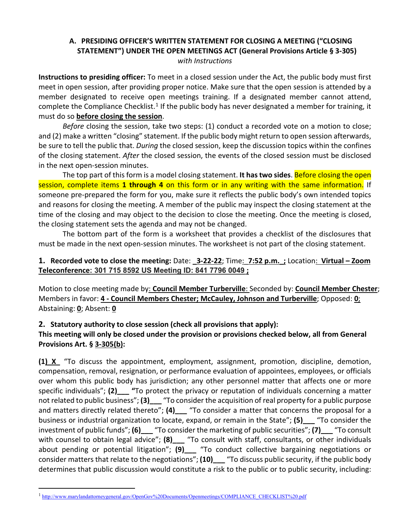## **A. PRESIDING OFFICER'S WRITTEN STATEMENT FOR CLOSING A MEETING ("CLOSING STATEMENT") UNDER THE OPEN MEETINGS ACT (General Provisions Article § 3-305)** *with Instructions*

**Instructions to presiding officer:** To meet in a closed session under the Act, the public body must first meet in open session, after providing proper notice. Make sure that the open session is attended by a member designated to receive open meetings training. If a designated member cannot attend, complete the Compliance Checklist.<sup>[1](#page-0-0)</sup> If the public body has never designated a member for training, it must do so **before closing the session**.

*Before* closing the session, take two steps: (1) conduct a recorded vote on a motion to close; and (2) make a written "closing" statement. If the public body might return to open session afterwards, be sure to tell the public that. *During* the closed session, keep the discussion topics within the confines of the closing statement. *After* the closed session, the events of the closed session must be disclosed in the next open-session minutes.

The top part of this form is a model closing statement. **It has two sides**. Before closing the open session, complete items **1 through 4** on this form or in any writing with the same information. If someone pre-prepared the form for you, make sure it reflects the public body's own intended topics and reasons for closing the meeting. A member of the public may inspect the closing statement at the time of the closing and may object to the decision to close the meeting. Once the meeting is closed, the closing statement sets the agenda and may not be changed.

The bottom part of the form is a worksheet that provides a checklist of the disclosures that must be made in the next open-session minutes. The worksheet is not part of the closing statement.

## **1. Recorded vote to close the meeting:** Date: **\_3-22-22**; Time:\_**7:52 p.m.\_;** Location: **Virtual – Zoom Teleconference: 301 715 8592 US Meeting ID: 841 7796 0049 ;**

Motion to close meeting made by: **Council Member Turberville**: Seconded by: **Council Member Chester**; Members in favor: **4 - Council Members Chester; McCauley, Johnson and Turberville**; Opposed: **0**; Abstaining: **0**; Absent: **0**

## **2. Statutory authority to close session (check all provisions that apply):**

## **This meeting will only be closed under the provision or provisions checked below, all from General Provisions Art. § 3-305(b):**

**(1)\_X\_** "To discuss the appointment, employment, assignment, promotion, discipline, demotion, compensation, removal, resignation, or performance evaluation of appointees, employees, or officials over whom this public body has jurisdiction; any other personnel matter that affects one or more specific individuals"; **(2)\_\_\_ "**To protect the privacy or reputation of individuals concerning a matter not related to public business"; **(3)\_\_\_** "To consider the acquisition of real property for a public purpose and matters directly related thereto"; **(4)\_\_\_** "To consider a matter that concerns the proposal for a business or industrial organization to locate, expand, or remain in the State"; **(5)\_\_\_** "To consider the investment of public funds"; **(6)\_\_\_** "To consider the marketing of public securities"; **(7)\_\_\_** "To consult with counsel to obtain legal advice"; **(8)** eral to consult with staff, consultants, or other individuals about pending or potential litigation"; **(9)\_\_\_** "To conduct collective bargaining negotiations or consider matters that relate to the negotiations"; **(10)\_\_\_** "To discuss public security, if the public body determines that public discussion would constitute a risk to the public or to public security, including:

<span id="page-0-0"></span><sup>&</sup>lt;sup>1</sup> [http://www.marylandattorneygeneral.gov/OpenGov%20Documents/Openmeetings/COMPLIANCE\\_CHECKLIST%20.pdf](http://www.marylandattorneygeneral.gov/OpenGov%20Documents/Openmeetings/COMPLIANCE_CHECKLIST%20.pdf)